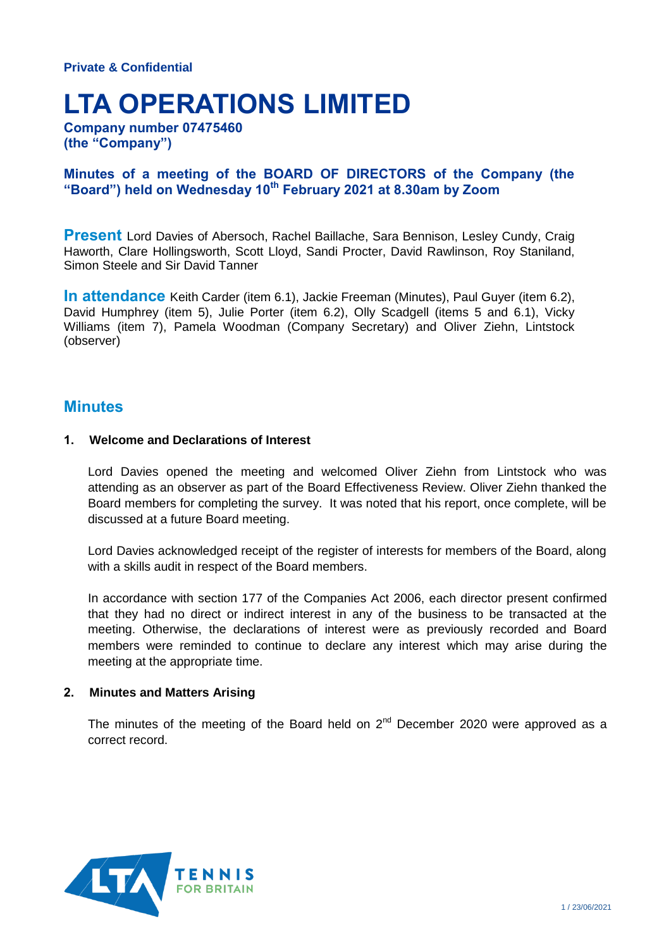# **LTA OPERATIONS LIMITED**

**Company number 07475460 (the "Company")**

## **Minutes of a meeting of the BOARD OF DIRECTORS of the Company (the "Board") held on Wednesday 10th February 2021 at 8.30am by Zoom**

**Present** Lord Davies of Abersoch, Rachel Baillache, Sara Bennison, Lesley Cundy, Craig Haworth, Clare Hollingsworth, Scott Lloyd, Sandi Procter, David Rawlinson, Roy Staniland, Simon Steele and Sir David Tanner

**In attendance** Keith Carder (item 6.1), Jackie Freeman (Minutes), Paul Guyer (item 6.2), David Humphrey (item 5), Julie Porter (item 6.2), Olly Scadgell (items 5 and 6.1), Vicky Williams (item 7), Pamela Woodman (Company Secretary) and Oliver Ziehn, Lintstock (observer)

# **Minutes**

### **1. Welcome and Declarations of Interest**

Lord Davies opened the meeting and welcomed Oliver Ziehn from Lintstock who was attending as an observer as part of the Board Effectiveness Review. Oliver Ziehn thanked the Board members for completing the survey. It was noted that his report, once complete, will be discussed at a future Board meeting.

Lord Davies acknowledged receipt of the register of interests for members of the Board, along with a skills audit in respect of the Board members.

In accordance with section 177 of the Companies Act 2006, each director present confirmed that they had no direct or indirect interest in any of the business to be transacted at the meeting. Otherwise, the declarations of interest were as previously recorded and Board members were reminded to continue to declare any interest which may arise during the meeting at the appropriate time.

### **2. Minutes and Matters Arising**

The minutes of the meeting of the Board held on  $2^{nd}$  December 2020 were approved as a correct record.

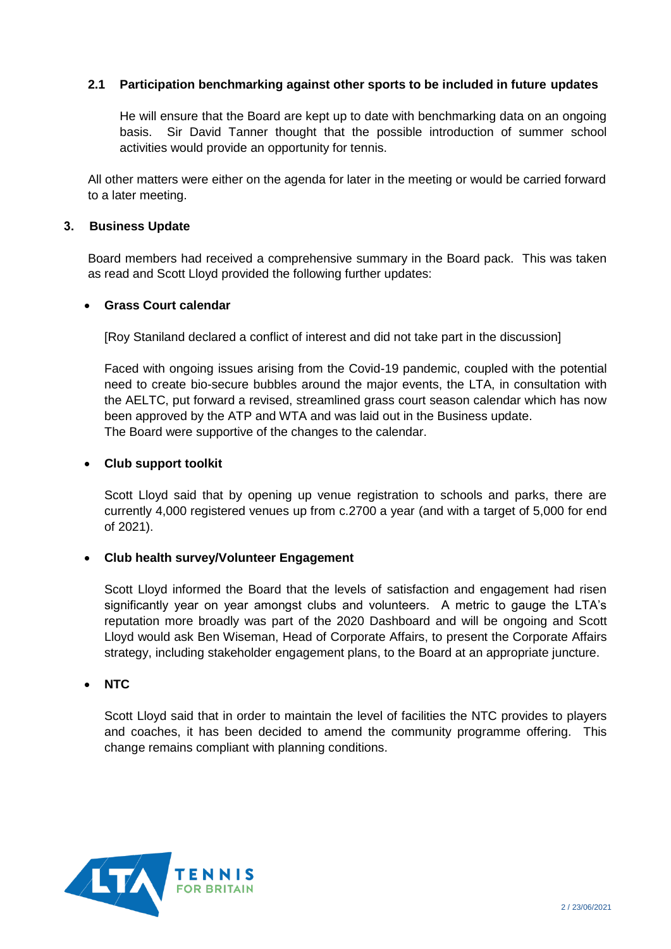## **2.1 Participation benchmarking against other sports to be included in future updates**

He will ensure that the Board are kept up to date with benchmarking data on an ongoing basis. Sir David Tanner thought that the possible introduction of summer school activities would provide an opportunity for tennis.

All other matters were either on the agenda for later in the meeting or would be carried forward to a later meeting.

### **3. Business Update**

Board members had received a comprehensive summary in the Board pack. This was taken as read and Scott Lloyd provided the following further updates:

### **Grass Court calendar**

[Roy Staniland declared a conflict of interest and did not take part in the discussion]

Faced with ongoing issues arising from the Covid-19 pandemic, coupled with the potential need to create bio-secure bubbles around the major events, the LTA, in consultation with the AELTC, put forward a revised, streamlined grass court season calendar which has now been approved by the ATP and WTA and was laid out in the Business update. The Board were supportive of the changes to the calendar.

### **Club support toolkit**

Scott Lloyd said that by opening up venue registration to schools and parks, there are currently 4,000 registered venues up from c.2700 a year (and with a target of 5,000 for end of 2021).

## **Club health survey/Volunteer Engagement**

Scott Lloyd informed the Board that the levels of satisfaction and engagement had risen significantly year on year amongst clubs and volunteers. A metric to gauge the LTA's reputation more broadly was part of the 2020 Dashboard and will be ongoing and Scott Lloyd would ask Ben Wiseman, Head of Corporate Affairs, to present the Corporate Affairs strategy, including stakeholder engagement plans, to the Board at an appropriate juncture.

## **NTC**

Scott Lloyd said that in order to maintain the level of facilities the NTC provides to players and coaches, it has been decided to amend the community programme offering. This change remains compliant with planning conditions.

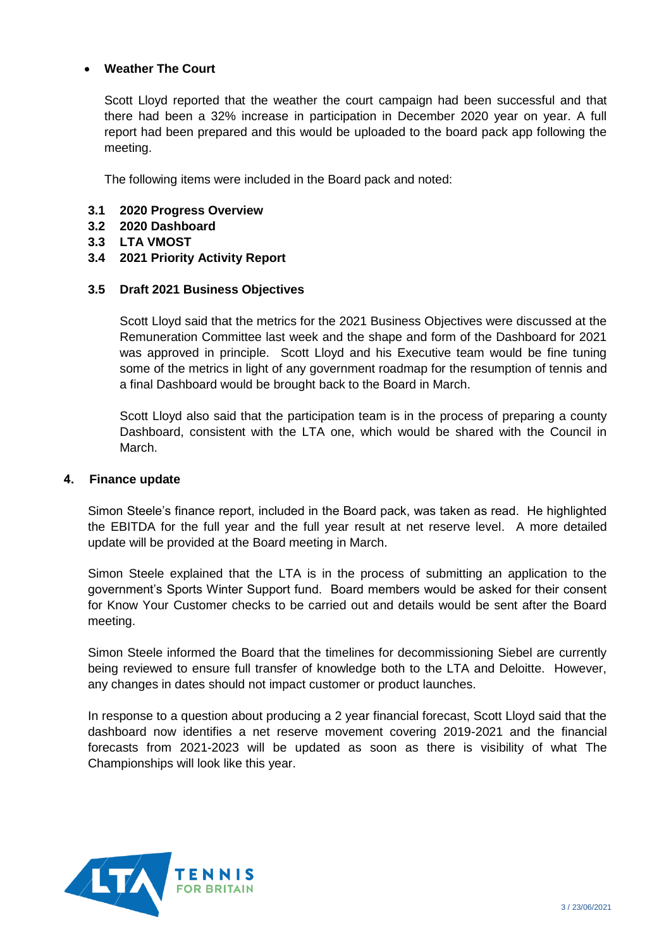## **Weather The Court**

Scott Lloyd reported that the weather the court campaign had been successful and that there had been a 32% increase in participation in December 2020 year on year. A full report had been prepared and this would be uploaded to the board pack app following the meeting.

The following items were included in the Board pack and noted:

- **3.1 2020 Progress Overview**
- **3.2 2020 Dashboard**
- **3.3 LTA VMOST**
- **3.4 2021 Priority Activity Report**

### **3.5 Draft 2021 Business Objectives**

Scott Lloyd said that the metrics for the 2021 Business Objectives were discussed at the Remuneration Committee last week and the shape and form of the Dashboard for 2021 was approved in principle. Scott Lloyd and his Executive team would be fine tuning some of the metrics in light of any government roadmap for the resumption of tennis and a final Dashboard would be brought back to the Board in March.

Scott Lloyd also said that the participation team is in the process of preparing a county Dashboard, consistent with the LTA one, which would be shared with the Council in March.

### **4. Finance update**

Simon Steele's finance report, included in the Board pack, was taken as read. He highlighted the EBITDA for the full year and the full year result at net reserve level. A more detailed update will be provided at the Board meeting in March.

Simon Steele explained that the LTA is in the process of submitting an application to the government's Sports Winter Support fund. Board members would be asked for their consent for Know Your Customer checks to be carried out and details would be sent after the Board meeting.

Simon Steele informed the Board that the timelines for decommissioning Siebel are currently being reviewed to ensure full transfer of knowledge both to the LTA and Deloitte. However, any changes in dates should not impact customer or product launches.

In response to a question about producing a 2 year financial forecast, Scott Lloyd said that the dashboard now identifies a net reserve movement covering 2019-2021 and the financial forecasts from 2021-2023 will be updated as soon as there is visibility of what The Championships will look like this year.

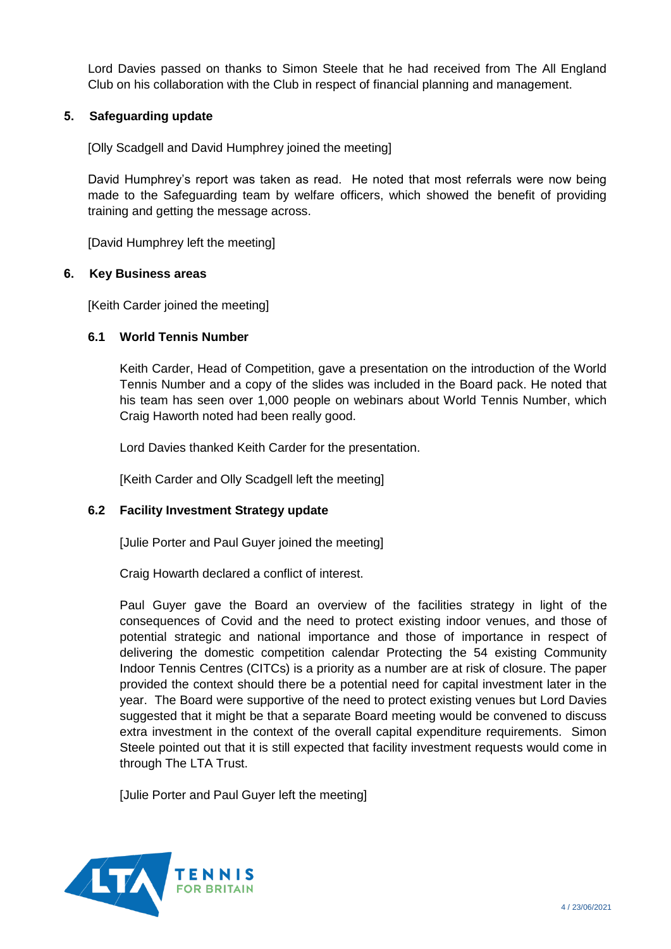Lord Davies passed on thanks to Simon Steele that he had received from The All England Club on his collaboration with the Club in respect of financial planning and management.

## **5. Safeguarding update**

[Olly Scadgell and David Humphrey joined the meeting]

David Humphrey's report was taken as read. He noted that most referrals were now being made to the Safeguarding team by welfare officers, which showed the benefit of providing training and getting the message across.

[David Humphrey left the meeting]

## **6. Key Business areas**

[Keith Carder joined the meeting]

## **6.1 World Tennis Number**

Keith Carder, Head of Competition, gave a presentation on the introduction of the World Tennis Number and a copy of the slides was included in the Board pack. He noted that his team has seen over 1,000 people on webinars about World Tennis Number, which Craig Haworth noted had been really good.

Lord Davies thanked Keith Carder for the presentation.

[Keith Carder and Olly Scadgell left the meeting]

## **6.2 Facility Investment Strategy update**

[Julie Porter and Paul Guyer joined the meeting]

Craig Howarth declared a conflict of interest.

Paul Guyer gave the Board an overview of the facilities strategy in light of the consequences of Covid and the need to protect existing indoor venues, and those of potential strategic and national importance and those of importance in respect of delivering the domestic competition calendar Protecting the 54 existing Community Indoor Tennis Centres (CITCs) is a priority as a number are at risk of closure. The paper provided the context should there be a potential need for capital investment later in the year. The Board were supportive of the need to protect existing venues but Lord Davies suggested that it might be that a separate Board meeting would be convened to discuss extra investment in the context of the overall capital expenditure requirements. Simon Steele pointed out that it is still expected that facility investment requests would come in through The LTA Trust.

[Julie Porter and Paul Guyer left the meeting]

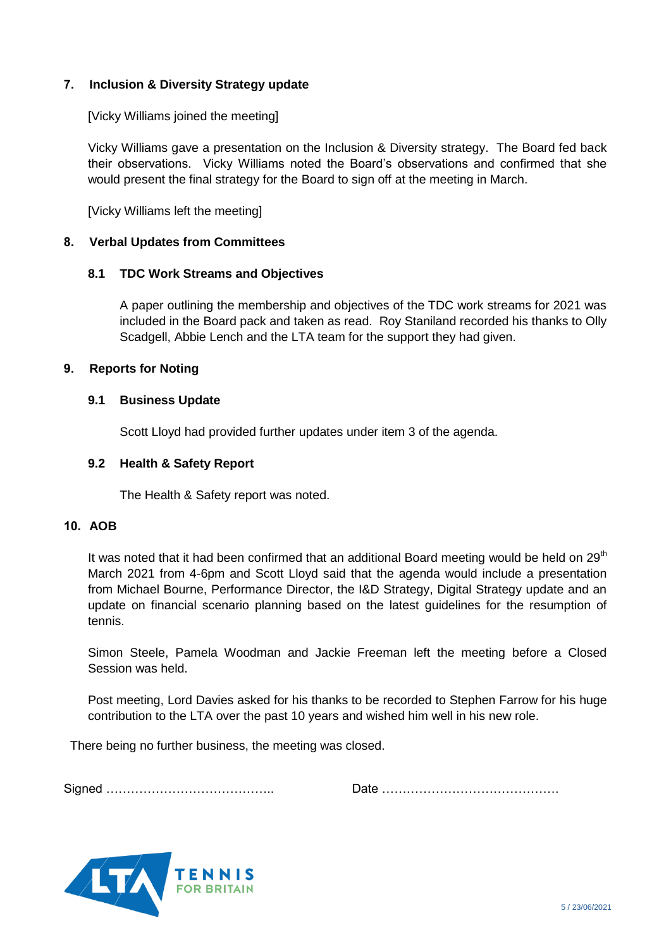## **7. Inclusion & Diversity Strategy update**

[Vicky Williams joined the meeting]

Vicky Williams gave a presentation on the Inclusion & Diversity strategy. The Board fed back their observations. Vicky Williams noted the Board's observations and confirmed that she would present the final strategy for the Board to sign off at the meeting in March.

[Vicky Williams left the meeting]

## **8. Verbal Updates from Committees**

## **8.1 TDC Work Streams and Objectives**

A paper outlining the membership and objectives of the TDC work streams for 2021 was included in the Board pack and taken as read. Roy Staniland recorded his thanks to Olly Scadgell, Abbie Lench and the LTA team for the support they had given.

## **9. Reports for Noting**

### **9.1 Business Update**

Scott Lloyd had provided further updates under item 3 of the agenda.

### **9.2 Health & Safety Report**

The Health & Safety report was noted.

### **10. AOB**

It was noted that it had been confirmed that an additional Board meeting would be held on  $29<sup>th</sup>$ March 2021 from 4-6pm and Scott Lloyd said that the agenda would include a presentation from Michael Bourne, Performance Director, the I&D Strategy, Digital Strategy update and an update on financial scenario planning based on the latest guidelines for the resumption of tennis.

Simon Steele, Pamela Woodman and Jackie Freeman left the meeting before a Closed Session was held.

Post meeting, Lord Davies asked for his thanks to be recorded to Stephen Farrow for his huge contribution to the LTA over the past 10 years and wished him well in his new role.

There being no further business, the meeting was closed.

Signed ………………………………….. Date …………………………………….

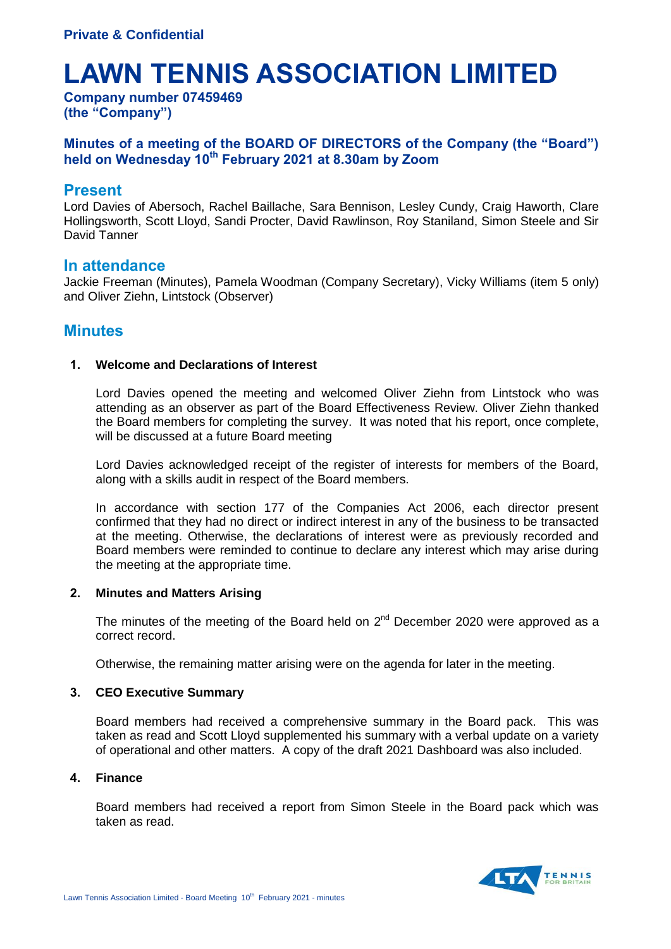# **LAWN TENNIS ASSOCIATION LIMITED**

**Company number 07459469 (the "Company")**

## **Minutes of a meeting of the BOARD OF DIRECTORS of the Company (the "Board") held on Wednesday 10th February 2021 at 8.30am by Zoom**

## **Present**

Lord Davies of Abersoch, Rachel Baillache, Sara Bennison, Lesley Cundy, Craig Haworth, Clare Hollingsworth, Scott Lloyd, Sandi Procter, David Rawlinson, Roy Staniland, Simon Steele and Sir David Tanner

## **In attendance**

Jackie Freeman (Minutes), Pamela Woodman (Company Secretary), Vicky Williams (item 5 only) and Oliver Ziehn, Lintstock (Observer)

# **Minutes**

### **1. Welcome and Declarations of Interest**

Lord Davies opened the meeting and welcomed Oliver Ziehn from Lintstock who was attending as an observer as part of the Board Effectiveness Review. Oliver Ziehn thanked the Board members for completing the survey. It was noted that his report, once complete, will be discussed at a future Board meeting

Lord Davies acknowledged receipt of the register of interests for members of the Board, along with a skills audit in respect of the Board members.

In accordance with section 177 of the Companies Act 2006, each director present confirmed that they had no direct or indirect interest in any of the business to be transacted at the meeting. Otherwise, the declarations of interest were as previously recorded and Board members were reminded to continue to declare any interest which may arise during the meeting at the appropriate time.

### **2. Minutes and Matters Arising**

The minutes of the meeting of the Board held on  $2^{nd}$  December 2020 were approved as a correct record.

Otherwise, the remaining matter arising were on the agenda for later in the meeting.

### **3. CEO Executive Summary**

Board members had received a comprehensive summary in the Board pack. This was taken as read and Scott Lloyd supplemented his summary with a verbal update on a variety of operational and other matters. A copy of the draft 2021 Dashboard was also included.

### **4. Finance**

Board members had received a report from Simon Steele in the Board pack which was taken as read.

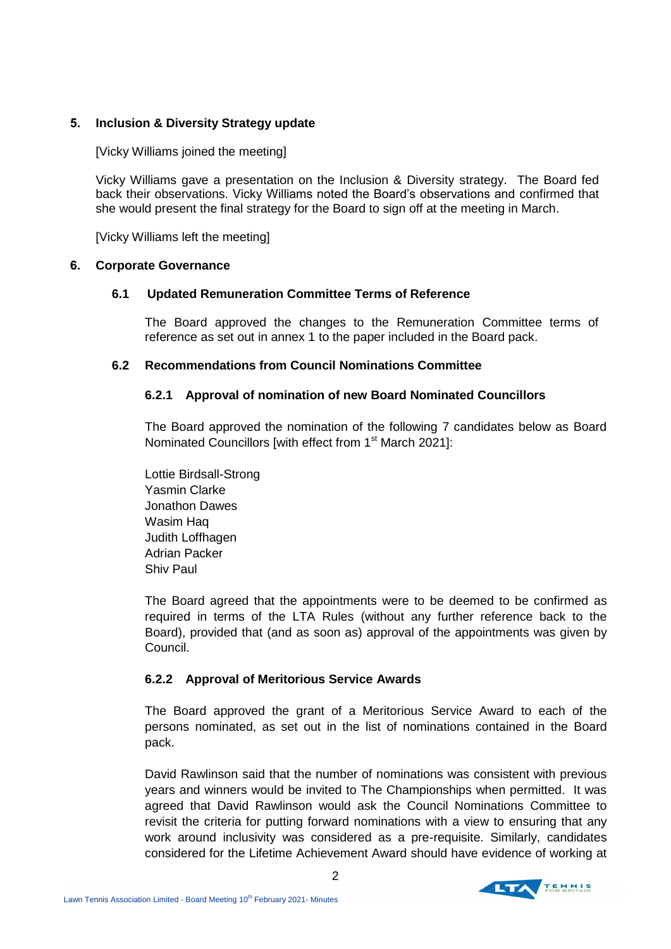## **5. Inclusion & Diversity Strategy update**

[Vicky Williams joined the meeting]

Vicky Williams gave a presentation on the Inclusion & Diversity strategy. The Board fed back their observations. Vicky Williams noted the Board's observations and confirmed that she would present the final strategy for the Board to sign off at the meeting in March.

[Vicky Williams left the meeting]

## **6. Corporate Governance**

## **6.1 Updated Remuneration Committee Terms of Reference**

 The Board approved the changes to the Remuneration Committee terms of reference as set out in annex 1 to the paper included in the Board pack.

## **6.2 Recommendations from Council Nominations Committee**

## **6.2.1 Approval of nomination of new Board Nominated Councillors**

The Board approved the nomination of the following 7 candidates below as Board Nominated Councillors [with effect from 1<sup>st</sup> March 2021]:

Lottie Birdsall-Strong Yasmin Clarke Jonathon Dawes Wasim Haq Judith Loffhagen Adrian Packer Shiv Paul

The Board agreed that the appointments were to be deemed to be confirmed as required in terms of the LTA Rules (without any further reference back to the Board), provided that (and as soon as) approval of the appointments was given by Council.

## **6.2.2 Approval of Meritorious Service Awards**

The Board approved the grant of a Meritorious Service Award to each of the persons nominated, as set out in the list of nominations contained in the Board pack.

David Rawlinson said that the number of nominations was consistent with previous years and winners would be invited to The Championships when permitted. It was agreed that David Rawlinson would ask the Council Nominations Committee to revisit the criteria for putting forward nominations with a view to ensuring that any work around inclusivity was considered as a pre-requisite. Similarly, candidates considered for the Lifetime Achievement Award should have evidence of working at